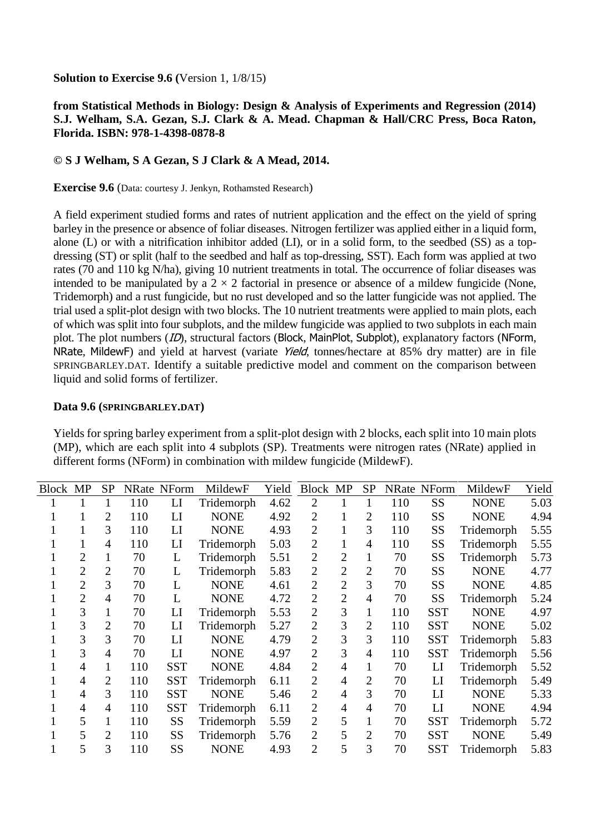**Solution to Exercise 9.6 (**Version 1, 1/8/15)

## **from Statistical Methods in Biology: Design & Analysis of Experiments and Regression (2014) S.J. Welham, S.A. Gezan, S.J. Clark & A. Mead. Chapman & Hall/CRC Press, Boca Raton, Florida. ISBN: 978-1-4398-0878-8**

## **© S J Welham, S A Gezan, S J Clark & A Mead, 2014.**

**Exercise 9.6** (Data: courtesy J. Jenkyn, Rothamsted Research)

A field experiment studied forms and rates of nutrient application and the effect on the yield of spring barley in the presence or absence of foliar diseases. Nitrogen fertilizer was applied either in a liquid form, alone (L) or with a nitrification inhibitor added (LI), or in a solid form, to the seedbed (SS) as a topdressing (ST) or split (half to the seedbed and half as top-dressing, SST). Each form was applied at two rates (70 and 110 kg N/ha), giving 10 nutrient treatments in total. The occurrence of foliar diseases was intended to be manipulated by a  $2 \times 2$  factorial in presence or absence of a mildew fungicide (None, Tridemorph) and a rust fungicide, but no rust developed and so the latter fungicide was not applied. The trial used a split-plot design with two blocks. The 10 nutrient treatments were applied to main plots, each of which was split into four subplots, and the mildew fungicide was applied to two subplots in each main plot. The plot numbers (*ID*), structural factors (Block, MainPlot, Subplot), explanatory factors (NForm, NRate, MildewF) and yield at harvest (variate Yield, tonnes/hectare at 85% dry matter) are in file SPRINGBARLEY.DAT. Identify a suitable predictive model and comment on the comparison between liquid and solid forms of fertilizer.

## **Data 9.6 (SPRINGBARLEY.DAT)**

| Block MP |                | <b>SP</b>      |     | <b>NRate NForm</b> | MildewF     | Yield | Block MP       |                | <b>SP</b>      |     | <b>NRate NForm</b> | MildewF     | Yield |
|----------|----------------|----------------|-----|--------------------|-------------|-------|----------------|----------------|----------------|-----|--------------------|-------------|-------|
|          |                |                | 110 | LI                 | Tridemorph  | 4.62  | $\overline{2}$ | $\mathbf{1}$   |                | 110 | SS                 | <b>NONE</b> | 5.03  |
|          | 1              | $\overline{2}$ | 110 | LI                 | <b>NONE</b> | 4.92  | $\overline{2}$ | $\mathbf{1}$   | 2              | 110 | SS                 | <b>NONE</b> | 4.94  |
|          | 1              | 3              | 110 | LI                 | <b>NONE</b> | 4.93  | $\overline{2}$ | $\mathbf{1}$   | 3              | 110 | SS                 | Tridemorph  | 5.55  |
|          | 1              | 4              | 110 | LI                 | Tridemorph  | 5.03  | $\overline{2}$ | $\mathbf{1}$   | $\overline{4}$ | 110 | SS                 | Tridemorph  | 5.55  |
|          | $\overline{2}$ | 1              | 70  | L                  | Tridemorph  | 5.51  | $\overline{2}$ | $\overline{2}$ | 1              | 70  | SS                 | Tridemorph  | 5.73  |
|          | $\overline{2}$ | $\overline{2}$ | 70  | L                  | Tridemorph  | 5.83  | $\overline{2}$ | $\overline{2}$ | $\overline{2}$ | 70  | SS                 | <b>NONE</b> | 4.77  |
|          | $\overline{2}$ | 3              | 70  | L                  | <b>NONE</b> | 4.61  | $\overline{2}$ | $\overline{2}$ | 3              | 70  | SS                 | <b>NONE</b> | 4.85  |
|          | $\overline{2}$ | $\overline{4}$ | 70  | L                  | <b>NONE</b> | 4.72  | $\overline{2}$ | $\overline{2}$ | $\overline{4}$ | 70  | SS                 | Tridemorph  | 5.24  |
|          | 3              | 1              | 70  | LI                 | Tridemorph  | 5.53  | $\overline{2}$ | 3              | $\mathbf{1}$   | 110 | <b>SST</b>         | <b>NONE</b> | 4.97  |
|          | 3              | $\overline{2}$ | 70  | LI                 | Tridemorph  | 5.27  | $\overline{2}$ | 3              | $\overline{2}$ | 110 | <b>SST</b>         | <b>NONE</b> | 5.02  |
|          | 3              | 3              | 70  | LI                 | <b>NONE</b> | 4.79  | $\overline{2}$ | 3              | 3              | 110 | <b>SST</b>         | Tridemorph  | 5.83  |
|          | 3              | $\overline{4}$ | 70  | LI                 | <b>NONE</b> | 4.97  | $\overline{2}$ | 3              | 4              | 110 | <b>SST</b>         | Tridemorph  | 5.56  |
|          | $\overline{4}$ |                | 110 | <b>SST</b>         | <b>NONE</b> | 4.84  | $\overline{2}$ | $\overline{4}$ | 1              | 70  | LI                 | Tridemorph  | 5.52  |
|          | $\overline{4}$ | $\overline{2}$ | 110 | <b>SST</b>         | Tridemorph  | 6.11  | $\overline{2}$ | $\overline{4}$ | $\overline{2}$ | 70  | LI                 | Tridemorph  | 5.49  |
|          | 4              | 3              | 110 | <b>SST</b>         | <b>NONE</b> | 5.46  | $\overline{2}$ | $\overline{4}$ | 3              | 70  | LI                 | <b>NONE</b> | 5.33  |
|          | $\overline{4}$ | $\overline{4}$ | 110 | <b>SST</b>         | Tridemorph  | 6.11  | $\overline{2}$ | $\overline{4}$ | $\overline{4}$ | 70  | LI                 | <b>NONE</b> | 4.94  |
|          | 5              | 1              | 110 | <b>SS</b>          | Tridemorph  | 5.59  | $\overline{2}$ | 5              | 1              | 70  | <b>SST</b>         | Tridemorph  | 5.72  |
|          | 5              | $\overline{2}$ | 110 | <b>SS</b>          | Tridemorph  | 5.76  | $\overline{2}$ | 5              | $\overline{2}$ | 70  | <b>SST</b>         | <b>NONE</b> | 5.49  |
|          | 5              | 3              | 110 | SS                 | <b>NONE</b> | 4.93  | $\overline{2}$ | 5              | 3              | 70  | <b>SST</b>         | Tridemorph  | 5.83  |

Yields for spring barley experiment from a split-plot design with 2 blocks, each split into 10 main plots (MP), which are each split into 4 subplots (SP). Treatments were nitrogen rates (NRate) applied in different forms (NForm) in combination with mildew fungicide (MildewF).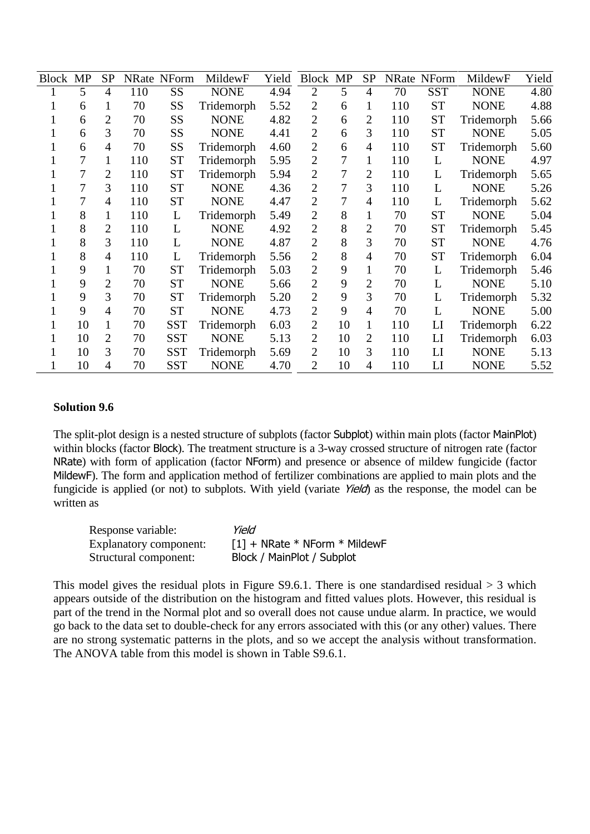| Block MP |    | <b>SP</b>      |     | NRate NForm | MildewF     | Yield | Block MP       |    | <b>SP</b>      |     | <b>NRate NForm</b> | MildewF     | Yield |
|----------|----|----------------|-----|-------------|-------------|-------|----------------|----|----------------|-----|--------------------|-------------|-------|
|          | 5  | $\overline{4}$ | 110 | <b>SS</b>   | <b>NONE</b> | 4.94  | $\overline{2}$ | 5  | $\overline{4}$ | 70  | <b>SST</b>         | <b>NONE</b> | 4.80  |
|          | 6  | 1              | 70  | SS          | Tridemorph  | 5.52  | $\overline{2}$ | 6  | 1              | 110 | <b>ST</b>          | <b>NONE</b> | 4.88  |
|          | 6  | 2              | 70  | <b>SS</b>   | <b>NONE</b> | 4.82  | $\overline{2}$ | 6  | $\overline{2}$ | 110 | <b>ST</b>          | Tridemorph  | 5.66  |
|          | 6  | 3              | 70  | SS          | <b>NONE</b> | 4.41  | $\overline{2}$ | 6  | 3              | 110 | <b>ST</b>          | <b>NONE</b> | 5.05  |
|          | 6  | $\overline{4}$ | 70  | SS          | Tridemorph  | 4.60  | $\overline{2}$ | 6  | $\overline{4}$ | 110 | <b>ST</b>          | Tridemorph  | 5.60  |
|          | 7  | 1              | 110 | <b>ST</b>   | Tridemorph  | 5.95  | 2              | 7  | 1              | 110 | L                  | <b>NONE</b> | 4.97  |
|          | 7  | 2              | 110 | <b>ST</b>   | Tridemorph  | 5.94  | $\overline{2}$ | 7  | $\overline{2}$ | 110 | L                  | Tridemorph  | 5.65  |
|          | 7  | 3              | 110 | <b>ST</b>   | <b>NONE</b> | 4.36  | $\overline{2}$ | 7  | 3              | 110 | L                  | <b>NONE</b> | 5.26  |
|          | 7  | $\overline{4}$ | 110 | <b>ST</b>   | <b>NONE</b> | 4.47  | $\overline{2}$ | 7  | $\overline{4}$ | 110 | L                  | Tridemorph  | 5.62  |
|          | 8  | 1              | 110 | L           | Tridemorph  | 5.49  | 2              | 8  | 1              | 70  | <b>ST</b>          | <b>NONE</b> | 5.04  |
|          | 8  | $\overline{2}$ | 110 | L           | <b>NONE</b> | 4.92  | $\overline{2}$ | 8  | $\overline{2}$ | 70  | <b>ST</b>          | Tridemorph  | 5.45  |
|          | 8  | 3              | 110 | L           | <b>NONE</b> | 4.87  | $\overline{2}$ | 8  | $\overline{3}$ | 70  | <b>ST</b>          | <b>NONE</b> | 4.76  |
|          | 8  | 4              | 110 | L           | Tridemorph  | 5.56  | $\overline{2}$ | 8  | $\overline{4}$ | 70  | <b>ST</b>          | Tridemorph  | 6.04  |
|          | 9  | 1              | 70  | <b>ST</b>   | Tridemorph  | 5.03  | $\overline{2}$ | 9  | $\mathbf{1}$   | 70  | L                  | Tridemorph  | 5.46  |
|          | 9  | $\overline{2}$ | 70  | <b>ST</b>   | <b>NONE</b> | 5.66  | $\overline{2}$ | 9  | $\overline{2}$ | 70  | L                  | <b>NONE</b> | 5.10  |
|          | 9  | 3              | 70  | <b>ST</b>   | Tridemorph  | 5.20  | $\overline{2}$ | 9  | 3              | 70  | L                  | Tridemorph  | 5.32  |
|          | 9  | $\overline{4}$ | 70  | <b>ST</b>   | <b>NONE</b> | 4.73  | $\overline{2}$ | 9  | $\overline{4}$ | 70  | L                  | <b>NONE</b> | 5.00  |
|          | 10 | 1              | 70  | <b>SST</b>  | Tridemorph  | 6.03  | $\overline{2}$ | 10 | 1              | 110 | LI                 | Tridemorph  | 6.22  |
|          | 10 | 2              | 70  | <b>SST</b>  | <b>NONE</b> | 5.13  | $\overline{2}$ | 10 | $\overline{2}$ | 110 | LI                 | Tridemorph  | 6.03  |
|          | 10 | 3              | 70  | <b>SST</b>  | Tridemorph  | 5.69  | $\overline{2}$ | 10 | 3              | 110 | LI                 | <b>NONE</b> | 5.13  |
|          | 10 | $\overline{4}$ | 70  | <b>SST</b>  | <b>NONE</b> | 4.70  | $\overline{2}$ | 10 | $\overline{4}$ | 110 | LI                 | <b>NONE</b> | 5.52  |

## **Solution 9.6**

The split-plot design is a nested structure of subplots (factor Subplot) within main plots (factor MainPlot) within blocks (factor Block). The treatment structure is a 3-way crossed structure of nitrogen rate (factor NRate) with form of application (factor NForm) and presence or absence of mildew fungicide (factor MildewF). The form and application method of fertilizer combinations are applied to main plots and the fungicide is applied (or not) to subplots. With yield (variate Yield) as the response, the model can be written as

| Response variable:     | Yield                           |
|------------------------|---------------------------------|
| Explanatory component: | $[1]$ + NRate * NForm * MildewF |
| Structural component:  | Block / MainPlot / Subplot      |

This model gives the residual plots in Figure S9.6.1. There is one standardised residual  $> 3$  which appears outside of the distribution on the histogram and fitted values plots. However, this residual is part of the trend in the Normal plot and so overall does not cause undue alarm. In practice, we would go back to the data set to double-check for any errors associated with this (or any other) values. There are no strong systematic patterns in the plots, and so we accept the analysis without transformation. The ANOVA table from this model is shown in Table S9.6.1.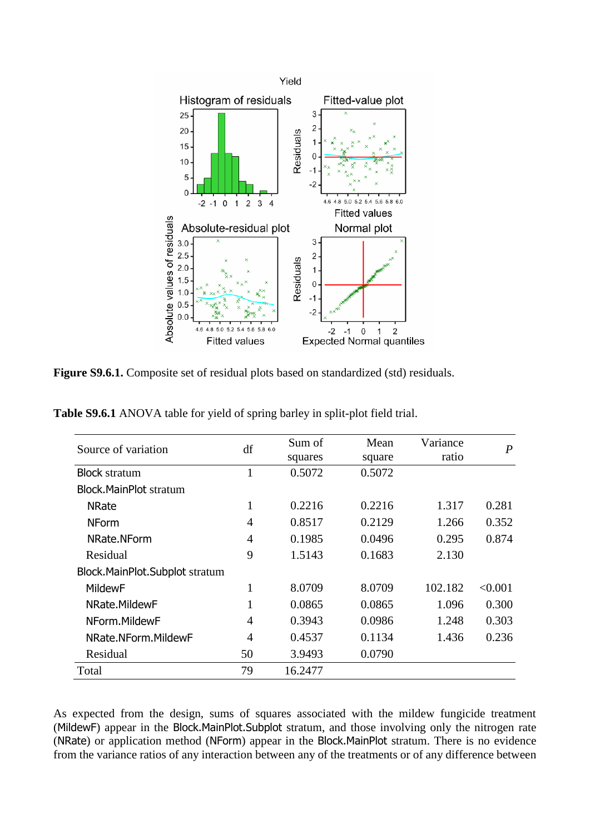

**Figure S9.6.1.** Composite set of residual plots based on standardized (std) residuals.

**Table S9.6.1** ANOVA table for yield of spring barley in split-plot field trial.

| Source of variation            | df             | Sum of<br>squares | Mean<br>square | Variance<br>ratio | $\boldsymbol{P}$ |
|--------------------------------|----------------|-------------------|----------------|-------------------|------------------|
| <b>Block stratum</b>           | 1              | 0.5072            | 0.5072         |                   |                  |
| <b>Block.MainPlot stratum</b>  |                |                   |                |                   |                  |
| <b>NRate</b>                   | 1              | 0.2216            | 0.2216         | 1.317             | 0.281            |
| <b>NForm</b>                   | $\overline{4}$ | 0.8517            | 0.2129         | 1.266             | 0.352            |
| NRate.NForm                    | $\overline{A}$ | 0.1985            | 0.0496         | 0.295             | 0.874            |
| Residual                       | 9              | 1.5143            | 0.1683         | 2.130             |                  |
| Block.MainPlot.Subplot stratum |                |                   |                |                   |                  |
| <b>MildewF</b>                 | 1              | 8.0709            | 8.0709         | 102.182           | < 0.001          |
| NRate.MildewF                  | 1              | 0.0865            | 0.0865         | 1.096             | 0.300            |
| NForm.MildewF                  | $\overline{A}$ | 0.3943            | 0.0986         | 1.248             | 0.303            |
| NRate.NForm.MildewF            | $\overline{A}$ | 0.4537            | 0.1134         | 1.436             | 0.236            |
| Residual                       | 50             | 3.9493            | 0.0790         |                   |                  |
| Total                          | 79             | 16.2477           |                |                   |                  |

As expected from the design, sums of squares associated with the mildew fungicide treatment (MildewF) appear in the Block.MainPlot.Subplot stratum, and those involving only the nitrogen rate (NRate) or application method (NForm) appear in the Block.MainPlot stratum. There is no evidence from the variance ratios of any interaction between any of the treatments or of any difference between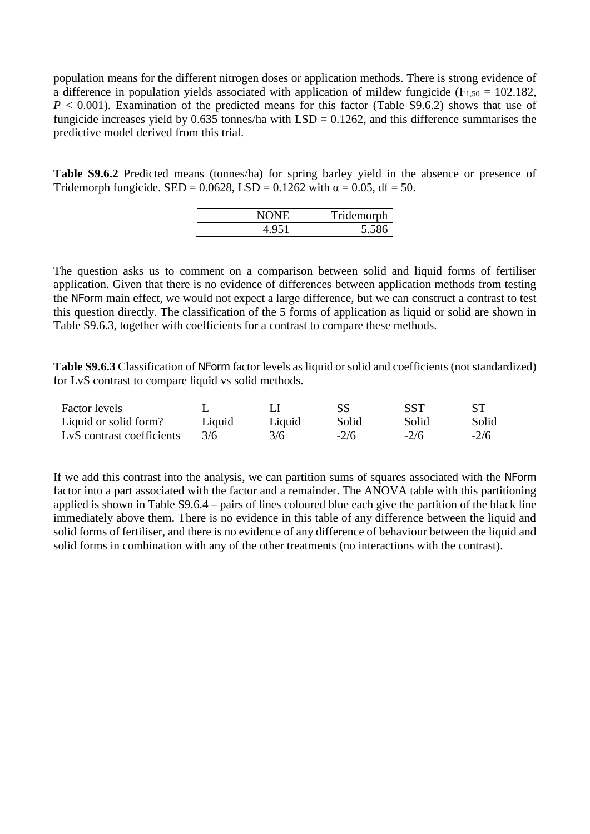population means for the different nitrogen doses or application methods. There is strong evidence of a difference in population yields associated with application of mildew fungicide ( $F_{1,50} = 102.182$ ,  $P < 0.001$ ). Examination of the predicted means for this factor (Table S9.6.2) shows that use of fungicide increases yield by  $0.635$  tonnes/ha with  $LSD = 0.1262$ , and this difference summarises the predictive model derived from this trial.

**Table S9.6.2** Predicted means (tonnes/ha) for spring barley yield in the absence or presence of Tridemorph fungicide. SED = 0.0628, LSD = 0.1262 with  $\alpha$  = 0.05, df = 50.

| NONE  | Tridemorph |
|-------|------------|
| 4.951 | 5.586      |

The question asks us to comment on a comparison between solid and liquid forms of fertiliser application. Given that there is no evidence of differences between application methods from testing the NForm main effect, we would not expect a large difference, but we can construct a contrast to test this question directly. The classification of the 5 forms of application as liquid or solid are shown in Table S9.6.3, together with coefficients for a contrast to compare these methods.

**Table S9.6.3** Classification of NForm factor levels as liquid or solid and coefficients (not standardized) for LvS contrast to compare liquid vs solid methods.

| <b>Factor levels</b>      |        |        |        |        |        |
|---------------------------|--------|--------|--------|--------|--------|
| Liquid or solid form?     | Liquid | Liquid | Solid  | Solid  | Solid  |
| LvS contrast coefficients | 3/6    | 3/6    | $-2/6$ | $-2/6$ | $-2/6$ |

If we add this contrast into the analysis, we can partition sums of squares associated with the NForm factor into a part associated with the factor and a remainder. The ANOVA table with this partitioning applied is shown in Table S9.6.4 – pairs of lines coloured blue each give the partition of the black line immediately above them. There is no evidence in this table of any difference between the liquid and solid forms of fertiliser, and there is no evidence of any difference of behaviour between the liquid and solid forms in combination with any of the other treatments (no interactions with the contrast).